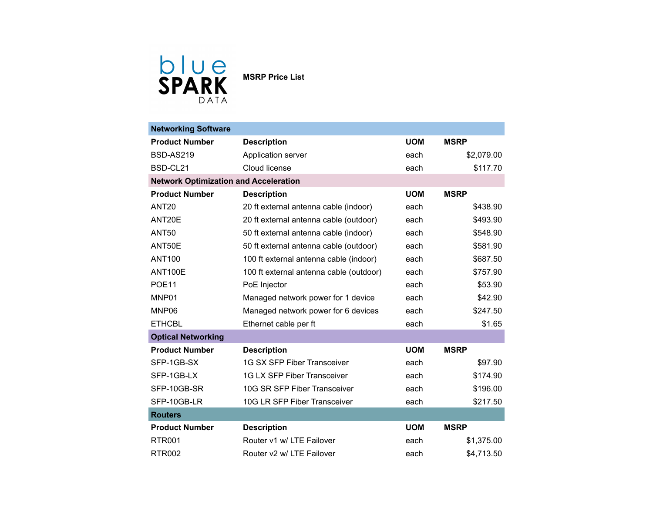

| <b>Networking Software</b>                   |                                         |            |             |  |  |
|----------------------------------------------|-----------------------------------------|------------|-------------|--|--|
| <b>Product Number</b>                        | <b>Description</b>                      | <b>UOM</b> | <b>MSRP</b> |  |  |
| <b>BSD-AS219</b>                             | Application server                      | each       | \$2,079.00  |  |  |
| BSD-CL21                                     | Cloud license                           | each       | \$117.70    |  |  |
| <b>Network Optimization and Acceleration</b> |                                         |            |             |  |  |
| <b>Product Number</b>                        | <b>Description</b>                      | <b>UOM</b> | <b>MSRP</b> |  |  |
| <b>ANT20</b>                                 | 20 ft external antenna cable (indoor)   | each       | \$438.90    |  |  |
| ANT20E                                       | 20 ft external antenna cable (outdoor)  | each       | \$493.90    |  |  |
| <b>ANT50</b>                                 | 50 ft external antenna cable (indoor)   | each       | \$548.90    |  |  |
| ANT50E                                       | 50 ft external antenna cable (outdoor)  | each       | \$581.90    |  |  |
| <b>ANT100</b>                                | 100 ft external antenna cable (indoor)  | each       | \$687.50    |  |  |
| <b>ANT100E</b>                               | 100 ft external antenna cable (outdoor) | each       | \$757.90    |  |  |
| <b>POE11</b>                                 | PoE Injector                            | each       | \$53.90     |  |  |
| MNP01                                        | Managed network power for 1 device      | each       | \$42.90     |  |  |
| MNP06                                        | Managed network power for 6 devices     | each       | \$247.50    |  |  |
| <b>ETHCBL</b>                                | Ethernet cable per ft                   | each       | \$1.65      |  |  |
| <b>Optical Networking</b>                    |                                         |            |             |  |  |
| <b>Product Number</b>                        | <b>Description</b>                      | <b>UOM</b> | <b>MSRP</b> |  |  |
| SFP-1GB-SX                                   | <b>1G SX SFP Fiber Transceiver</b>      | each       | \$97.90     |  |  |
| SFP-1GB-LX                                   | <b>1G LX SFP Fiber Transceiver</b>      | each       | \$174.90    |  |  |
| SFP-10GB-SR                                  | 10G SR SFP Fiber Transceiver            | each       | \$196.00    |  |  |
| SFP-10GB-LR                                  | 10G LR SFP Fiber Transceiver            | each       | \$217.50    |  |  |
| <b>Routers</b>                               |                                         |            |             |  |  |
| <b>Product Number</b>                        | <b>Description</b>                      | <b>UOM</b> | <b>MSRP</b> |  |  |
| <b>RTR001</b>                                | Router v1 w/ LTE Failover               | each       | \$1,375.00  |  |  |
| <b>RTR002</b>                                | Router v2 w/ LTE Failover               | each       | \$4,713.50  |  |  |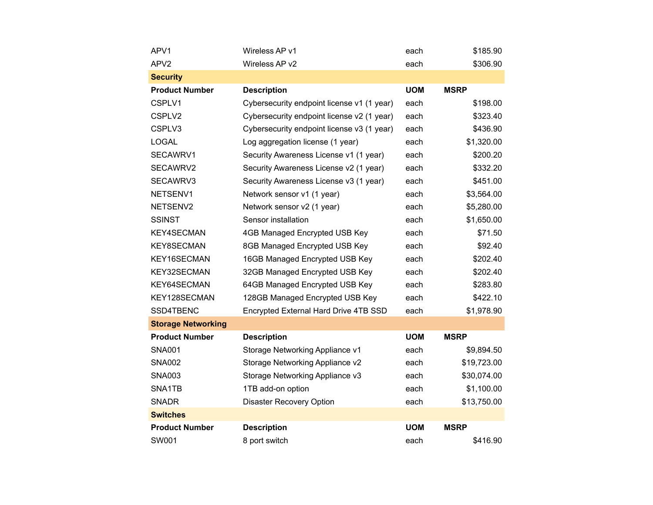| APV1                      | Wireless AP v1                             | each       | \$185.90    |
|---------------------------|--------------------------------------------|------------|-------------|
| APV <sub>2</sub>          | Wireless AP v2                             | each       | \$306.90    |
| <b>Security</b>           |                                            |            |             |
| <b>Product Number</b>     | <b>Description</b>                         | <b>UOM</b> | <b>MSRP</b> |
| CSPLV1                    | Cybersecurity endpoint license v1 (1 year) | each       | \$198.00    |
| CSPLV2                    | Cybersecurity endpoint license v2 (1 year) | each       | \$323.40    |
| CSPLV3                    | Cybersecurity endpoint license v3 (1 year) | each       | \$436.90    |
| <b>LOGAL</b>              | Log aggregation license (1 year)           | each       | \$1,320.00  |
| SECAWRV1                  | Security Awareness License v1 (1 year)     | each       | \$200.20    |
| SECAWRV2                  | Security Awareness License v2 (1 year)     | each       | \$332.20    |
| SECAWRV3                  | Security Awareness License v3 (1 year)     | each       | \$451.00    |
| NETSENV1                  | Network sensor v1 (1 year)                 | each       | \$3,564.00  |
| NETSENV2                  | Network sensor v2 (1 year)                 | each       | \$5,280.00  |
| <b>SSINST</b>             | Sensor installation                        | each       | \$1,650.00  |
| <b>KEY4SECMAN</b>         | 4GB Managed Encrypted USB Key              | each       | \$71.50     |
| KEY8SECMAN                | 8GB Managed Encrypted USB Key              | each       | \$92.40     |
| KEY16SECMAN               | 16GB Managed Encrypted USB Key             | each       | \$202.40    |
| KEY32SECMAN               | 32GB Managed Encrypted USB Key             | each       | \$202.40    |
| KEY64SECMAN               | 64GB Managed Encrypted USB Key             | each       | \$283.80    |
| KEY128SECMAN              | 128GB Managed Encrypted USB Key            | each       | \$422.10    |
| SSD4TBENC                 | Encrypted External Hard Drive 4TB SSD      | each       | \$1,978.90  |
| <b>Storage Networking</b> |                                            |            |             |
| <b>Product Number</b>     | <b>Description</b>                         | <b>UOM</b> | <b>MSRP</b> |
| <b>SNA001</b>             | Storage Networking Appliance v1            | each       | \$9,894.50  |
| <b>SNA002</b>             | Storage Networking Appliance v2            | each       | \$19,723.00 |
| <b>SNA003</b>             | Storage Networking Appliance v3            | each       | \$30,074.00 |
| SNA1TB                    | 1TB add-on option                          | each       | \$1,100.00  |
| <b>SNADR</b>              | <b>Disaster Recovery Option</b>            | each       | \$13,750.00 |
| <b>Switches</b>           |                                            |            |             |
| <b>Product Number</b>     | <b>Description</b>                         | <b>UOM</b> | <b>MSRP</b> |
| SW001                     | 8 port switch                              | each       | \$416.90    |